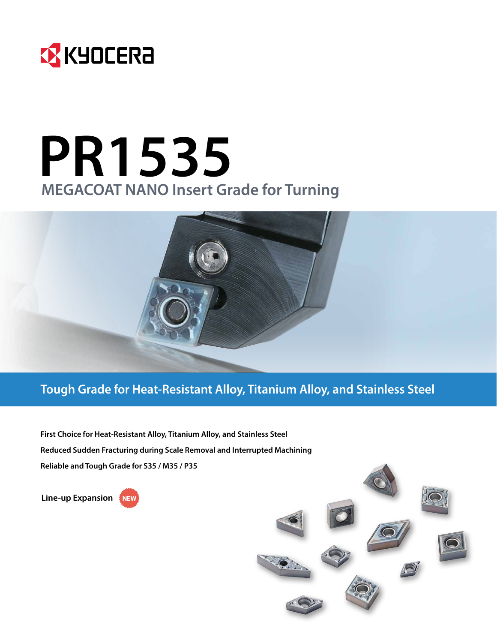

# **PR1535 MEGACOAT NANO Insert Grade for Turning**



**First Choice for Heat-Resistant Alloy, Titanium Alloy, and Stainless Steel Reduced Sudden Fracturing during Scale Removal and Interrupted Machining Reliable and Tough Grade for S35 / M35 / P35**

**Line-up Expansion** 

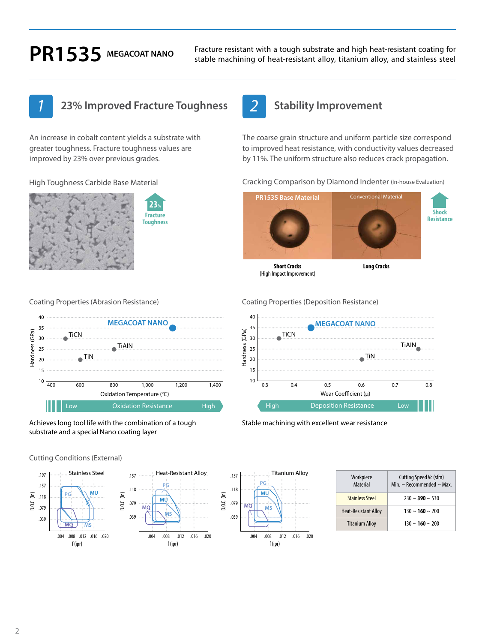**PR1535** MEGACOAT NANO Fracture resistant with a tough substrate and high heat-resistant coating for stable machining of heat-resistant alloy, titanium alloy, and stainless steel stable machining of heat-resistant alloy, titanium alloy, and stainless steel

## *1* **23% Improved Fracture Toughness** *2* **Stability Improvement**

An increase in cobalt content yields a substrate with greater toughness. Fracture toughness values are improved by 23% over previous grades.

High Toughness Carbide Base Material





Achieves long tool life with the combination of a tough substrate and a special Nano coating layer

Cutting Conditions (External)





| Workpiece<br><b>Material</b> | Cutting Speed Vc (sfm)<br>Min. $\sim$ Recommended $\sim$ Max. |
|------------------------------|---------------------------------------------------------------|
| <b>Stainless Steel</b>       | $230 \sim 390 \sim 530$                                       |
| <b>Heat-Resistant Alloy</b>  | $130 \sim 160 \sim 200$                                       |
| <b>Titanium Alloy</b>        | $130 \sim 160 \sim 200$                                       |

**Shock Resistance**

Coating Properties (Abrasion Resistance) Coating Properties (Deposition Resistance)

(High Impact Improvement)



Cracking Comparison by Diamond Indenter (In-house Evaluation)

The coarse grain structure and uniform particle size correspond to improved heat resistance, with conductivity values decreased by 11%. The uniform structure also reduces crack propagation.

**PR1535 Base Material Conventional Material** 

**Short Cracks Long Cracks**

Stable machining with excellent wear resistance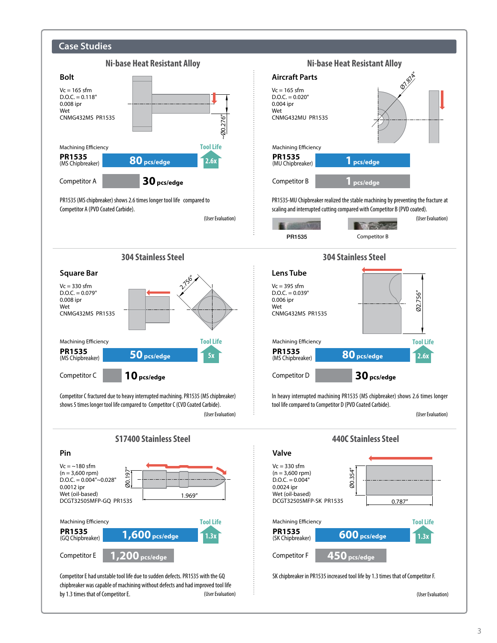

(User Evaluation)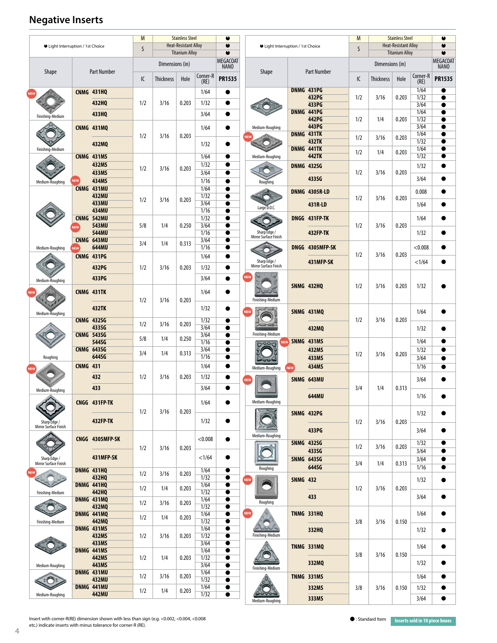### **Negative Inserts**

| ● Light Interruption / 1st Choice     |                 | M<br>$\mathsf{S}$          | <b>Stainless Steel</b><br><b>Heat-Resistant Alloy</b><br><b>Titanium Alloy</b> |                  | ٠<br>$\bullet$<br>$\bullet$                                                                        |                  | ● Light Interruption / 1st Choice |            |                                       | M<br>$\mathsf{S}$ | <b>Stainless Steel</b><br><b>Heat-Resistant Alloy</b><br><b>Titanium Alloy</b> |     |                  | ٠<br>$\bullet$<br>$\bullet$ |                  |                         |
|---------------------------------------|-----------------|----------------------------|--------------------------------------------------------------------------------|------------------|----------------------------------------------------------------------------------------------------|------------------|-----------------------------------|------------|---------------------------------------|-------------------|--------------------------------------------------------------------------------|-----|------------------|-----------------------------|------------------|-------------------------|
|                                       |                 |                            |                                                                                | Dimensions (in)  |                                                                                                    |                  | <b>MEGACOAT</b><br><b>NANO</b>    |            |                                       |                   |                                                                                |     | Dimensions (in)  |                             |                  | MEGACOAT<br><b>NANO</b> |
| <b>Shape</b>                          |                 | <b>Part Number</b>         | IC                                                                             | <b>Thickness</b> | Hole                                                                                               | Corner-R<br>(RE) | <b>PR1535</b>                     |            | Shape                                 |                   | <b>Part Number</b>                                                             | IC  | <b>Thickness</b> | Hole                        | Corner-R<br>(RE) | <b>PR1535</b>           |
|                                       |                 | <b>CNMG 431HQ</b>          |                                                                                |                  |                                                                                                    | 1/64             | 0                                 |            |                                       |                   | DNMG 431PG<br>432PG                                                            | 1/2 | 3/16             | 0.203                       | 1/64<br>1/32     | $\bullet$               |
|                                       |                 | 432HQ<br>433HQ             | 1/2                                                                            | 3/16             | 0.203                                                                                              | 1/32<br>3/64     | $\bullet$<br>$\bullet$            |            |                                       |                   | 433PG<br>DNMG 441PG                                                            |     |                  |                             | 3/64<br>1/64     | $\bullet$<br>$\bullet$  |
| Finishing-Medium                      |                 | <b>CNMG 431MQ</b>          |                                                                                |                  |                                                                                                    | 1/64             | $\bullet$                         |            | Medium-Roughing                       |                   | 442PG<br>443PG                                                                 | 1/2 | 1/4              | 0.203                       | 1/32<br>3/64     | $\bullet$<br>$\bullet$  |
|                                       |                 |                            | 1/2                                                                            | 3/16             | 0.203                                                                                              |                  |                                   |            |                                       |                   | DNMG 431TK<br><b>432TK</b>                                                     | 1/2 | 3/16             | 0.203                       | 1/64<br>1/32     | $\bullet$<br>$\bullet$  |
| Finishing-Medium                      |                 | 432MQ<br>CNMG 431MS        |                                                                                |                  |                                                                                                    | 1/32<br>1/64     | $\bullet$<br>$\bullet$            |            | Medium-Roughing                       |                   | DNMG 441TK<br><b>442TK</b>                                                     | 1/2 | 1/4              | 0.203                       | 1/64<br>1/32     | $\bullet$<br>$\bullet$  |
|                                       |                 | <b>432MS</b>               | 1/2                                                                            | 3/16             | 0.203                                                                                              | 1/32             | $\bullet$                         |            |                                       |                   | <b>DNMG 432SG</b>                                                              |     |                  |                             | 1/32             |                         |
| Medium-Roughing                       | NEW             | 433MS<br>434MS             |                                                                                |                  |                                                                                                    | 3/64<br>1/16     | $\bullet$<br>$\bullet$            |            | Roughing                              |                   | 433SG                                                                          | 1/2 | 3/16             | 0.203                       | 3/64             | ●                       |
|                                       |                 | CNMG 431MU<br><b>432MU</b> |                                                                                |                  |                                                                                                    | 1/64<br>1/32     | $\bullet$<br>$\bullet$            |            |                                       |                   | <b>DNMG 4305R-LD</b>                                                           | 1/2 | 3/16             | 0.203                       | 0.008            |                         |
|                                       |                 | 433MU<br><b>434MU</b>      | 1/2                                                                            | 3/16             | 0.203                                                                                              | 3/64<br>1/16     | $\bullet$<br>$\bullet$            |            | Large D.O.C.                          |                   | 431R-LD                                                                        |     |                  |                             | 1/64             |                         |
|                                       |                 | CNMG 542MU<br>543MU        | 5/8                                                                            | 1/4              | 0.250                                                                                              | 1/32<br>3/64     | $\bullet$<br>$\bullet$            |            |                                       |                   | DNGG 431FP-TK                                                                  | 1/2 | 3/16             | 0.203                       | 1/64             |                         |
|                                       |                 | <b>544MU</b><br>CNMG 643MU |                                                                                |                  | 1/16<br>Sharp Edge /<br><b>432FP-TK</b><br>$\bullet$<br>Mirror Surface Finish<br>3/64<br>$\bullet$ |                  |                                   |            | 1/32                                  |                   |                                                                                |     |                  |                             |                  |                         |
| Medium-Roughing                       | <b>NEW</b>      | 644MU                      | 3/4                                                                            | 1/4              | 0.313                                                                                              | 1/16             | $\bullet$                         |            |                                       |                   | DNGG 4305MFP-SK                                                                | 1/2 | 3/16             | 0.203                       | < 0.008          |                         |
|                                       |                 | <b>CNMG 431PG</b><br>432PG | 1/2                                                                            | 3/16             | 0.203                                                                                              | 1/64<br>1/32     | $\bullet$<br>$\bullet$            |            | Sharp Edge /<br>Mirror Surface Finish |                   | 431MFP-SK                                                                      |     |                  |                             | <1/64            |                         |
| Medium-Roughing                       |                 | 433PG                      |                                                                                |                  |                                                                                                    | 3/64             | $\bullet$                         | <b>NEV</b> |                                       |                   |                                                                                |     |                  |                             |                  |                         |
|                                       |                 | CNMG 431TK                 |                                                                                |                  |                                                                                                    | 1/64             |                                   |            |                                       |                   | <b>SNMG 432HQ</b>                                                              | 1/2 | 3/16             | 0.203                       | 1/32             |                         |
|                                       |                 | <b>432TK</b>               | 1/2                                                                            | 3/16             | 0.203                                                                                              | 1/32             | $\bullet$                         |            | Finishing-Medium                      |                   |                                                                                |     |                  |                             |                  |                         |
| Medium-Roughing                       |                 | <b>CNMG 432SG</b>          | 1/2                                                                            | 3/16             | 0.203                                                                                              | 1/32             | $\bullet$                         | <b>NEV</b> |                                       |                   | <b>SNMG 431MQ</b>                                                              | 1/2 | 3/16             | 0.203                       | 1/64             |                         |
|                                       |                 | 433SG<br><b>CNMG 543SG</b> | 5/8                                                                            | 1/4              | 0.250                                                                                              | 3/64<br>3/64     | $\bullet$<br>$\bullet$            |            | Finishing-Medium                      |                   | 432MQ                                                                          |     |                  |                             | 1/32             |                         |
|                                       |                 | 544SG<br><b>CNMG 643SG</b> | 3/4                                                                            | 1/4              | 0.313                                                                                              | 1/16<br>3/64     | $\bullet$<br>$\bullet$            |            | <b>NEW</b>                            | SNMG 431MS        | 432MS                                                                          | 1/2 | 3/16             | 0.203                       | 1/64<br>1/32     |                         |
| Roughing                              | <b>CNMG 431</b> | 644SG                      |                                                                                |                  |                                                                                                    | 1/16<br>1/64     | $\bullet$<br>$\bullet$            |            | Medium-Roughing                       |                   | 433MS<br>434MS                                                                 |     |                  |                             | 3/64<br>1/16     | $\bullet$<br>$\bullet$  |
|                                       |                 | 432                        | 1/2                                                                            | 3/16             | 0.203                                                                                              | 1/32             | $\bullet$                         |            |                                       | <b>NEW</b>        | SNMG 643MU                                                                     |     |                  |                             | 3/64             |                         |
| Medium-Roughing                       |                 | 433                        |                                                                                |                  |                                                                                                    | 3/64             | 0                                 |            |                                       |                   | 644MU                                                                          | 3/4 | 1/4              | 0.313                       | 1/16             |                         |
|                                       |                 | CNGG 431FP-TK              |                                                                                |                  |                                                                                                    | 1/64             | ●                                 |            | Medium-Roughing                       |                   |                                                                                |     |                  |                             |                  |                         |
| Sharp Edge /                          |                 | <b>432FP-TK</b>            | 1/2                                                                            | 3/16             | 0.203                                                                                              | 1/32             | $\bullet$                         |            |                                       |                   | SNMG 432PG                                                                     | 1/2 | 3/16             | 0.203                       | 1/32             |                         |
| Mirror Surface Finish                 |                 | CNGG 4305MFP-SK            |                                                                                |                  |                                                                                                    | < 0.008          |                                   |            | Medium-Roughing                       |                   | 433PG                                                                          |     |                  |                             | 3/64             |                         |
|                                       |                 |                            | 1/2                                                                            | 3/16             | 0.203                                                                                              |                  |                                   |            |                                       |                   | <b>SNMG 432SG</b><br>433SG                                                     | 1/2 | 3/16             | 0.203                       | 1/32<br>3/64     |                         |
| Sharp Edge /<br>Mirror Surface Finish |                 | 431MFP-SK                  |                                                                                |                  |                                                                                                    | <1/64            |                                   |            |                                       |                   | <b>SNMG 643SG</b><br>644SG                                                     | 3/4 | 1/4              | 0.313                       | 3/64<br>1/16     | $\bullet$               |
| <b>NEV</b>                            |                 | <b>DNMG 431HQ</b><br>432HQ | 1/2                                                                            | 3/16             | 0.203                                                                                              | 1/64<br>1/32     | $\bullet$<br>$\bullet$            | <b>NEW</b> | Roughing                              | <b>SNMG 432</b>   |                                                                                |     |                  |                             | 1/32             |                         |
| Finishing-Medium                      |                 | DNMG 441HQ<br>442HQ        | 1/2                                                                            | 1/4              | 0.203                                                                                              | 1/64<br>1/32     | $\bullet$<br>$\bullet$            |            |                                       |                   |                                                                                | 1/2 | 3/16             | 0.203                       |                  |                         |
|                                       |                 | DNMG 431MQ<br>432MQ        | 1/2                                                                            | 3/16             | 0.203                                                                                              | 1/64<br>1/32     | $\bullet$<br>$\bullet$            |            | Roughing                              |                   | 433                                                                            |     |                  |                             | 3/64             |                         |
| Finishing-Medium                      |                 | DNMG 441MQ<br>442MQ        | 1/2                                                                            | 1/4              | 0.203                                                                                              | 1/64<br>1/32     | $\bullet$<br>$\bullet$            | <b>NEW</b> |                                       |                   | <b>TNMG 331HQ</b>                                                              | 3/8 | 3/16             | 0.150                       | 1/64             |                         |
|                                       |                 | DNMG 431MS<br>432MS        | 1/2                                                                            | 3/16             | 0.203                                                                                              | 1/64<br>1/32     | $\bullet$<br>$\bullet$            |            | Finishing-Medium                      |                   | 332HQ                                                                          |     |                  |                             | 1/32             |                         |
|                                       | DNMG 441MS      | 433MS                      |                                                                                |                  |                                                                                                    | 3/64<br>1/64     | $\bullet$<br>$\bullet$            |            |                                       |                   | <b>TNMG 331MQ</b>                                                              |     |                  |                             | 1/64             |                         |
| Medium-Roughing                       |                 | 442MS<br>443MS             | 1/2                                                                            | 1/4              | 0.203                                                                                              | 1/32<br>3/64     | $\bullet$<br>$\bullet$            |            |                                       |                   | 332MQ                                                                          | 3/8 | 3/16             | 0.150                       | 1/32             |                         |
|                                       |                 | DNMG 431MU<br>432MU        | 1/2                                                                            | 3/16             | 0.203                                                                                              | 1/64<br>1/32     | $\bullet$<br>$\bullet$            |            | Finishing-Medium                      |                   | TNMG 331MS                                                                     |     |                  |                             | 1/64             |                         |
| Medium-Roughing                       |                 | DNMG 441MU<br>442MU        | 1/2                                                                            | 1/4              | 0.203                                                                                              | 1/64<br>1/32     | $\bullet$<br>$\bullet$            |            |                                       |                   | 332MS                                                                          | 3/8 | 3/16             | 0.150                       | 1/32             | ●                       |
|                                       |                 |                            |                                                                                |                  |                                                                                                    |                  |                                   |            | Medium-Roughing                       |                   | 333MS                                                                          |     |                  |                             | 3/64             |                         |

**Insert with corner-R(RE) dimension shown with less than sign (e.g. <0.002, <0.004, <0.008 //times //times inserts sold in 10 piece boxes in the standard Item inserts sold in 10 piece boxes** etc.) indicate inserts with minus tolerance for corner-R (RE).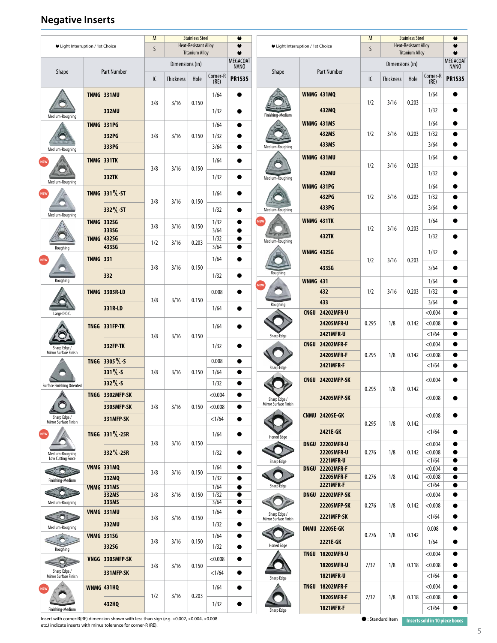### **Negative Inserts**

| ● Light Interruption / 1st Choice     |                 | M<br>$\mathsf{S}$                            | <b>Stainless Steel</b><br><b>Heat-Resistant Alloy</b><br><b>Titanium Alloy</b> |                  |       | $\bullet$<br>$\bullet$<br>$\bullet$ | U Light Interruption / 1st Choice    |                                       | M<br>$\mathsf{S}$          | <b>Stainless Steel</b><br><b>Heat-Resistant Alloy</b><br><b>Titanium Alloy</b> |       |                  | $\bullet$<br>$\bullet$ |                    |                                |
|---------------------------------------|-----------------|----------------------------------------------|--------------------------------------------------------------------------------|------------------|-------|-------------------------------------|--------------------------------------|---------------------------------------|----------------------------|--------------------------------------------------------------------------------|-------|------------------|------------------------|--------------------|--------------------------------|
|                                       |                 |                                              |                                                                                | Dimensions (in)  |       |                                     | <b>MEGACOAT</b><br>NANO <sup>®</sup> |                                       |                            |                                                                                |       | Dimensions (in)  |                        |                    | <b>MEGACOAT</b><br><b>NANO</b> |
| Shape                                 |                 | <b>Part Number</b>                           | IC                                                                             | <b>Thickness</b> | Hole  | Corner-R<br>(RE)                    | <b>PR1535</b>                        | Shape                                 |                            | <b>Part Number</b>                                                             | IC    | <b>Thickness</b> | Hole                   | Corner-R<br>(RE)   | <b>PR1535</b>                  |
|                                       |                 | <b>TNMG 331MU</b>                            |                                                                                |                  |       | 1/64                                | $\bullet$                            |                                       |                            | <b>WNMG 431MO</b>                                                              | 1/2   | 3/16             | 0.203                  | 1/64               |                                |
| Medium-Roughing                       |                 | 332MU                                        | 3/8                                                                            | 3/16             | 0.150 | 1/32                                | $\bullet$                            | Finishing-Medium                      |                            | 432MQ                                                                          |       |                  |                        | 1/32               |                                |
|                                       |                 | <b>TNMG 331PG</b>                            |                                                                                |                  |       | 1/64                                | $\bullet$                            |                                       |                            | WNMG 431MS                                                                     |       |                  |                        | 1/64               |                                |
|                                       |                 | 332PG<br>333PG                               | 3/8                                                                            | 3/16             | 0.150 | 1/32<br>3/64                        | $\bullet$<br>$\bullet$               | Medium-Roughing                       |                            | 432MS<br>433MS                                                                 | 1/2   | 3/16             | 0.203                  | 1/32<br>3/64       |                                |
| Medium-Roughing                       |                 | TNMG 331TK                                   |                                                                                |                  |       | 1/64                                | $\bullet$                            |                                       |                            | WNMG 431MU                                                                     |       |                  |                        | 1/64               |                                |
|                                       |                 | 332TK                                        | 3/8                                                                            | 3/16             | 0.150 |                                     | $\bullet$                            |                                       |                            | 432MU                                                                          | 1/2   | 3/16             | 0.203                  | 1/32               | 0                              |
| Medium-Roughing                       |                 |                                              |                                                                                |                  |       | 1/32                                |                                      | Medium-Roughing                       |                            | WNMG 431PG                                                                     |       |                  |                        | 1/64               |                                |
| <b>NEW</b>                            |                 | TNMG 331 <sup>P</sup> / <sub>L</sub> -ST     | 3/8                                                                            | 3/16             | 0.150 | 1/64                                | $\bullet$                            |                                       |                            | 432PG                                                                          | 1/2   | 3/16             | 0.203                  | 1/32               |                                |
| Medium-Roughing                       |                 | 332 <sup>P</sup> /L - ST                     |                                                                                |                  |       | 1/32                                | $\bullet$                            | Medium-Roughing                       |                            | 433PG                                                                          |       |                  |                        | 3/64               | $\bullet$                      |
|                                       |                 | <b>TNMG 332SG</b><br>333SG                   | 3/8                                                                            | 3/16             | 0.150 | 1/32<br>3/64                        | $\bullet$<br>$\bullet$               | NEV                                   | WNMG 431TK<br><b>432TK</b> | 1/2                                                                            | 3/16  | 0.203            | 1/64                   |                    |                                |
|                                       |                 | <b>TNMG 432SG</b>                            | 1/2                                                                            | 3/16             | 0.203 | 1/32                                | $\bullet$                            | Medium-Roughing                       |                            |                                                                                |       |                  | 1/32                   | 0                  |                                |
| Roughing                              | <b>TNMG 331</b> | 433SG                                        |                                                                                |                  |       | 3/64<br>1/64                        | $\bullet$<br>●                       |                                       |                            | <b>WNMG 432SG</b>                                                              | 1/2   | 3/16             | 0.203                  | 1/32               |                                |
|                                       |                 | 332                                          | 3/8                                                                            | 3/16             | 0.150 | 1/32                                | $\bullet$                            | Roughing                              |                            | 433SG                                                                          |       |                  |                        | 3/64               | œ                              |
| Roughing                              |                 |                                              |                                                                                |                  |       |                                     |                                      |                                       | <b>WNMG 431</b>            |                                                                                |       |                  |                        | 1/64               |                                |
|                                       |                 | <b>TNMG 3305R-LD</b>                         | 3/8                                                                            | 3/16             | 0.150 | 0.008                               | $\bullet$                            |                                       |                            | 432<br>433                                                                     | 1/2   | 3/16             | 0.203                  | 1/32<br>3/64       |                                |
| Large D.O.C.                          |                 | 331R LD                                      |                                                                                |                  |       | 1/64                                |                                      | Roughing                              |                            | CNGU 24202MFR-U                                                                |       |                  |                        | < 0.004            |                                |
|                                       |                 | TNGG 331FP-TK                                |                                                                                |                  |       | 1/64                                | $\bullet$                            |                                       |                            | 24205MFR-U                                                                     | 0.295 | 1/8              | 0.142                  | < 0.008            |                                |
|                                       |                 |                                              | 3/8                                                                            | 3/16             | 0.150 |                                     |                                      | Sharp Edge                            |                            | 2421MFR-U                                                                      |       |                  |                        | <1/64              | $\bullet$                      |
| Sharp Edge /<br>Mirror Surface Finish |                 | 332FP-TK                                     |                                                                                |                  |       | 1/32                                | $\bullet$                            |                                       |                            | CNGU 24202MFR-F<br>24205MFR-F                                                  | 0.295 | 1/8              | 0.142                  | < 0.004<br>< 0.008 |                                |
|                                       |                 | TNGG 3305 <sup>P</sup> / <sub>L</sub> -S     |                                                                                |                  |       | 0.008                               | $\bullet$                            | Sharp Edge                            |                            | 2421MFR-F                                                                      |       |                  |                        | <1/64              |                                |
|                                       |                 | 331 <sup>R</sup> / <sub>5</sub><br>332 K - S | 3/8                                                                            | 3/16             | 0.150 | 1/64<br>1/32                        | $\bullet$<br>$\bullet$               |                                       |                            | CNGU 24202MFP-SK                                                               |       |                  |                        | < 0.004            |                                |
| <b>Surface Finishing Oriented</b>     |                 | TNGG 3302MFP-SK                              |                                                                                |                  |       | < 0.004                             | $\bullet$                            |                                       |                            | 24205MFP-SK                                                                    | 0.295 | 1/8              | 0.142                  | < 0.008            |                                |
|                                       |                 | 3305MFP-SK                                   | 3/8                                                                            | 3/16             | 0.150 | < 0.008                             | $\bullet$                            | Sharp Edge /<br>Mirror Surface Finish |                            |                                                                                |       |                  |                        |                    |                                |
| Sharp Edge /<br>Mirror Surface Finish |                 | 331MFP-SK                                    |                                                                                |                  |       | <1/64                               | $\bullet$                            |                                       |                            | <b>CNMU 24205E-GK</b>                                                          | 0.295 | 1/8              | 0.142                  | < 0.008            |                                |
| NEW                                   |                 | TNGG 331 <sup>R</sup> / <sub>L</sub> -25R    |                                                                                |                  |       | 1/64                                |                                      | <b>Honed Edge</b>                     |                            | 2421E-GK                                                                       |       |                  |                        | <1/64              |                                |
| Medium-Roughing                       |                 | 332 <sup>R</sup> / <sub>25R</sub>            | 3/8                                                                            | 3/16             | 0.150 | 1/32                                | $\bullet$                            |                                       |                            | DNGU 22202MFR-U<br>22205MFR-U                                                  | 0.276 | 1/8              | 0.142                  | < 0.004<br>< 0.008 | 0                              |
| Low Cutting Force                     |                 | VNMG 331MQ                                   |                                                                                |                  |       | 1/64                                |                                      | Sharp Edge                            |                            | <b>2221MFR-U</b>                                                               |       |                  |                        | <1/64              | $\bullet$                      |
| Finishing-Medium                      |                 | 332MQ                                        | 3/8                                                                            | 3/16             | 0.150 | 1/32                                | $\bullet$                            |                                       |                            | DNGU 22202MFR-F<br>22205MFR-F                                                  | 0.276 | 1/8              | 0.142                  | < 0.004<br>< 0.008 | e                              |
| ◘                                     |                 | <b>VNMG 331MS</b><br>332MS                   | 3/8                                                                            | 3/16             | 0.150 | 1/64<br>1/32                        | $\bullet$<br>$\bullet$               | Sharp Edge                            |                            | <b>2221MFR-F</b><br>DNGU 22202MFP-SK                                           |       |                  |                        | <1/64<br>< 0.004   | $\bullet$<br>$\bullet$         |
| Medium-Roughing                       |                 | 333MS                                        |                                                                                |                  |       | 3/64                                | $\bullet$                            |                                       |                            | 22205MFP-SK                                                                    | 0.276 | 1/8              | 0.142                  | < 0.008            | $\bullet$                      |
|                                       |                 | VNMG 331MU                                   | 3/8                                                                            | 3/16             | 0.150 | 1/64                                | $\bullet$                            | Sharp Edge /<br>Mirror Surface Finish |                            | <b>2221MFP-SK</b>                                                              |       |                  |                        | <1/64              |                                |
| Medium-Roughing                       |                 | 332MU<br><b>VNMG 331SG</b>                   |                                                                                |                  |       | 1/32<br>1/64                        | $\bullet$<br>$\bullet$               |                                       |                            | <b>DNMU 22205E-GK</b>                                                          | 0.276 | 1/8              | 0.142                  | 0.008              |                                |
| Roughing                              |                 | 332SG                                        | 3/8                                                                            | 3/16             | 0.150 | 1/32                                | $\bullet$                            | <b>Honed Edge</b>                     |                            | 2221E-GK                                                                       |       |                  |                        | 1/64               |                                |
|                                       |                 | VNGG 3305MFP-SK                              |                                                                                |                  |       | < 0.008                             | $\bullet$                            |                                       |                            | <b>TNGU 18202MFR-U</b>                                                         |       |                  |                        | < 0.004            |                                |
| Sharp Edge /<br>Mirror Surface Finish |                 | 331MFP-SK                                    | 3/8                                                                            | 3/16             | 0.150 | <1/64                               | $\bullet$                            |                                       |                            | 18205MFR-U<br>1821MFR-U                                                        | 7/32  | 1/8              | 0.118                  | < 0.008<br><1/64   |                                |
|                                       |                 | <b>WNMG 431HQ</b>                            |                                                                                |                  |       | 1/64                                |                                      | Sharp Edge                            |                            | <b>TNGU 18202MFR-F</b>                                                         |       | 1/8              |                        | < 0.004            |                                |
|                                       |                 | 432HQ                                        | 1/2                                                                            | 3/16             | 0.203 | 1/32                                | ●                                    |                                       |                            | 18205MFR-F                                                                     | 7/32  |                  | 0.118                  | < 0.008            |                                |
| Finishing-Medium                      |                 |                                              |                                                                                |                  |       |                                     | Sharp Edge                           |                                       | <b>1821MFR-F</b>           |                                                                                |       |                  | <1/64                  | $\bullet$          |                                |

Insert with corner-R(RE) dimension shown with less than sign (e.g. <0.002, <0.004, <0.008 **expared than the corner-R** (RE). Inserts sold in 10 piece boxes<br>etc.) indicate inserts with minus tolerance for corner-R (RE).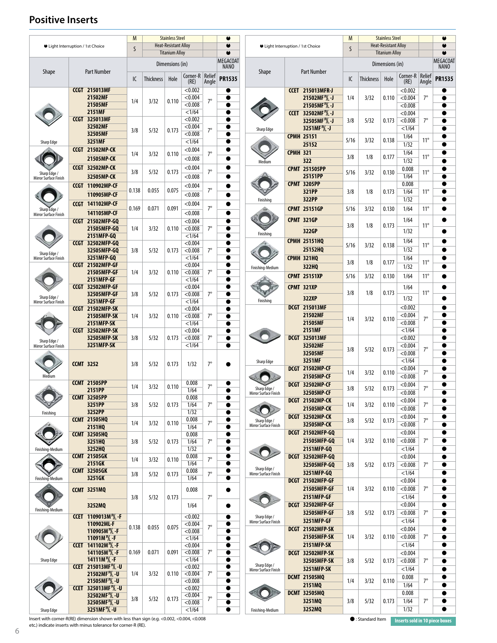#### **Positive Inserts**

|                                    |  |                                       | M            |                  | <b>Stainless Steel</b>             |                 |           |                 |                                       |                 |                                     | M    |                  | <b>Stainless Steel</b>      |          |              | ۰               |
|------------------------------------|--|---------------------------------------|--------------|------------------|------------------------------------|-----------------|-----------|-----------------|---------------------------------------|-----------------|-------------------------------------|------|------------------|-----------------------------|----------|--------------|-----------------|
| ● Light Interruption / 1st Choice  |  |                                       |              |                  | <b>Heat-Resistant Alloy</b>        |                 |           | $\bullet$       | ● Light Interruption / 1st Choice     |                 |                                     |      |                  | <b>Heat-Resistant Alloy</b> |          |              | $\bullet$       |
|                                    |  |                                       | <sub>S</sub> |                  |                                    |                 |           |                 |                                       |                 |                                     | S    |                  |                             |          |              |                 |
|                                    |  |                                       |              |                  | <b>Titanium Alloy</b><br>$\bullet$ |                 |           |                 |                                       |                 |                                     |      |                  | <b>Titanium Alloy</b>       |          |              | $\bullet$       |
|                                    |  |                                       |              |                  |                                    |                 |           | <b>MEGACOAT</b> |                                       |                 |                                     |      |                  | Dimensions (in)             |          |              | <b>MEGACOAT</b> |
|                                    |  |                                       |              |                  | Dimensions (in)                    |                 |           | <b>NANO</b>     |                                       |                 |                                     |      |                  |                             |          |              | <b>NANO</b>     |
| <b>Shape</b><br><b>Part Number</b> |  |                                       |              |                  |                                    |                 |           | <b>Shape</b>    | <b>Part Number</b>                    |                 |                                     |      |                  |                             |          |              |                 |
|                                    |  |                                       |              |                  |                                    | Corner-R Relief |           |                 |                                       |                 |                                     |      |                  |                             | Corner-R | Relief       |                 |
|                                    |  |                                       | IC           | <b>Thickness</b> | Hole                               | (RE)            | Angle     | <b>PR1535</b>   |                                       |                 |                                     | IC   | <b>Thickness</b> | Hole                        | (RE)     | Angle        | <b>PR1535</b>   |
|                                    |  |                                       |              |                  |                                    |                 |           |                 |                                       |                 |                                     |      |                  |                             |          |              |                 |
|                                    |  | <b>CCGT 215013MF</b>                  |              |                  |                                    | < 0.002         |           | ●               |                                       |                 | <b>CCET 215013MFR-J</b>             |      |                  |                             | < 0.002  |              |                 |
|                                    |  |                                       |              |                  |                                    |                 |           |                 |                                       |                 |                                     |      |                  |                             |          | $7^\circ$    |                 |
|                                    |  | 21502MF                               | 1/4          | 3/32             | 0.110                              | < 0.004         | $7^\circ$ | 0               |                                       |                 | 21502MF <sup>R</sup> / -J           | 1/4  | 3/32             | 0.110                       | < 0.004  |              |                 |
|                                    |  | 21505MF                               |              |                  |                                    | < 0.008         |           | ●               |                                       |                 | 21505MF <sup>R</sup> / <sub>1</sub> |      |                  |                             | < 0.008  |              |                 |
|                                    |  | <b>2151MF</b>                         |              |                  |                                    |                 |           |                 |                                       |                 |                                     |      |                  |                             |          |              |                 |
|                                    |  |                                       |              |                  |                                    | <1/64           |           |                 |                                       |                 | CCET 32502MF <sup>R</sup> /L -J     |      |                  |                             | < 0.004  |              | ●               |
|                                    |  | <b>CCGT 325013MF</b>                  |              |                  |                                    | < 0.002         |           |                 |                                       |                 | 32505MF <sup>R</sup> / -J           | 3/8  | 5/32             | 0.173                       | < 0.008  | $7^\circ$    | ●               |
|                                    |  | 32502MF                               |              |                  |                                    |                 |           |                 |                                       |                 |                                     |      |                  |                             |          |              |                 |
|                                    |  |                                       | 3/8          | 5/32             | 0.173                              | < 0.004         | $7^\circ$ |                 | Sharp Edge                            |                 | 3251MF <sup>R</sup> / J             |      |                  |                             | <1/64    |              | $\bullet$       |
|                                    |  | 32505MF                               |              |                  |                                    | < 0.008         |           | ●               |                                       |                 | <b>CPMH 25151</b>                   |      |                  |                             | 1/64     |              |                 |
|                                    |  | 3251MF                                |              |                  |                                    | <1/64           |           | ●               |                                       |                 |                                     | 5/16 | 3/32             | 0.138                       |          | $11^{\circ}$ |                 |
| Sharp Edge                         |  |                                       |              |                  |                                    |                 |           |                 |                                       |                 | 25152                               |      |                  |                             | 1/32     |              |                 |
|                                    |  | <b>CCGT 21502MP-CK</b>                |              |                  |                                    | < 0.004         |           |                 |                                       |                 |                                     |      |                  |                             |          |              |                 |
|                                    |  |                                       | 1/4          | 3/32             | 0.110                              |                 | $7^\circ$ |                 |                                       | <b>CPMH 321</b> |                                     | 3/8  | 1/8              | 0.177                       | 1/64     | $11^{\circ}$ | $\bullet$       |
|                                    |  | 21505MP-CK                            |              |                  |                                    | < 0.008         |           |                 |                                       |                 | 322                                 |      |                  |                             | 1/32     |              |                 |
|                                    |  |                                       |              |                  |                                    |                 |           |                 | Medium                                |                 |                                     |      |                  |                             |          |              |                 |
|                                    |  | <b>CCGT 32502MP-CK</b>                |              |                  |                                    | < 0.004         | $7^\circ$ | $\bullet$       |                                       |                 | <b>CPMT 251505PP</b>                |      |                  |                             | 0.008    |              |                 |
| Sharp Edge /                       |  | 32505MP-CK                            | 3/8          | 5/32             | 0.173                              | < 0.008         |           | $\bullet$       |                                       |                 | 25151PP                             | 5/16 | 3/32             | 0.130                       | 1/64     | $11^{\circ}$ |                 |
| Mirror Surface Finish              |  |                                       |              |                  |                                    |                 |           |                 |                                       |                 |                                     |      |                  |                             |          |              |                 |
|                                    |  | <b>CCGT 110902MP-CF</b>               |              |                  |                                    | < 0.004         |           |                 |                                       |                 | <b>CPMT 3205PP</b>                  |      |                  |                             | 0.008    |              | $\bullet$       |
|                                    |  |                                       | 0.138        | 0.055            | 0.075                              |                 | $7^\circ$ |                 |                                       |                 | 321PP                               | 3/8  | 1/8              | 0.173                       | 1/64     | $11^{\circ}$ | $\bullet$       |
|                                    |  | 110905MP-CF                           |              |                  |                                    | < 0.008         |           |                 |                                       |                 |                                     |      |                  |                             |          |              |                 |
|                                    |  |                                       |              |                  |                                    |                 |           |                 | Finishing                             |                 | 322PP                               |      |                  |                             | 1/32     |              |                 |
|                                    |  | <b>CCGT 141102MP-CF</b>               |              |                  |                                    | < 0.004         |           | $\bullet$       |                                       |                 |                                     |      |                  |                             |          |              |                 |
| Sharp Edge /                       |  | 141105MP-CF                           | 0.169        | 0.071            | 0.091                              |                 | $7^\circ$ | $\bullet$       |                                       |                 | <b>CPMT 25151GP</b>                 | 5/16 | 3/32             | 0.130                       | 1/64     | $11^{\circ}$ |                 |
| Mirror Surface Finish              |  |                                       |              |                  |                                    | < 0.008         |           |                 |                                       |                 |                                     |      |                  |                             |          |              |                 |
|                                    |  | <b>CCGT 21502MFP-GQ</b>               |              |                  |                                    | < 0.004         |           | $\bullet$       |                                       |                 | <b>CPMT 321GP</b>                   |      |                  |                             | 1/64     |              |                 |
|                                    |  |                                       |              |                  |                                    |                 | $7^\circ$ |                 |                                       |                 |                                     | 3/8  | 1/8              | 0.173                       |          | $11^{\circ}$ |                 |
|                                    |  | 21505MFP-GQ                           | 1/4          | 3/32             | 0.110                              | < 0.008         |           | $\bullet$       |                                       |                 | 322GP                               |      |                  |                             | 1/32     |              |                 |
|                                    |  | 2151MFP-GQ                            |              |                  |                                    | <1/64           |           | $\bullet$       | Finishing                             |                 |                                     |      |                  |                             |          |              |                 |
|                                    |  | CCGT 32502MFP-GQ                      |              |                  |                                    | < 0.004         |           |                 |                                       |                 | <b>CPMH 25151HQ</b>                 |      |                  |                             | 1/64     |              | ●               |
|                                    |  |                                       |              |                  |                                    |                 |           |                 |                                       |                 |                                     | 5/16 | 3/32             | 0.138                       |          | $11^{\circ}$ |                 |
| Sharp Edge /                       |  | 32505MFP-GQ                           | 3/8          | 5/32             | 0.173                              | < 0.008         | $7^\circ$ | $\bullet$       |                                       |                 | 25152HQ                             |      |                  |                             | 1/32     |              |                 |
| <b>Mirror Surface Finish</b>       |  | 3251MFP-GQ                            |              |                  |                                    | <1/64           |           | $\bullet$       |                                       |                 | <b>CPMH 321HQ</b>                   |      |                  |                             | 1/64     |              |                 |
|                                    |  |                                       |              |                  |                                    |                 |           |                 |                                       |                 |                                     | 3/8  | 1/8              | 0.177                       |          | $11^{\circ}$ |                 |
|                                    |  | CCGT 21502MFP-GF                      |              |                  |                                    | < 0.004         |           | $\bullet$       | Finishing-Medium                      |                 | 322HQ                               |      |                  |                             | 1/32     |              |                 |
|                                    |  | 21505MFP-GF                           | 1/4          | 3/32             | 0.110                              | < 0.008         | $7^\circ$ | $\bullet$       |                                       |                 |                                     |      |                  |                             |          |              |                 |
|                                    |  |                                       |              |                  |                                    |                 |           |                 |                                       |                 | <b>CPMT 25151XP</b>                 | 5/16 | 3/32             | 0.130                       | 1/64     | $11^{\circ}$ |                 |
|                                    |  | <b>2151MFP GF</b>                     |              |                  |                                    | <1/64           |           | $\bullet$       |                                       |                 |                                     |      |                  |                             |          |              |                 |
|                                    |  | CCGT 32502MFP-GF                      |              |                  |                                    | < 0.004         |           |                 |                                       |                 | CPMT 321XP                          |      |                  |                             | 1/64     |              |                 |
|                                    |  | 32505MFP-GF                           | 3/8          | 5/32             | 0.173                              | < 0.008         | $7^\circ$ | $\bullet$       |                                       |                 |                                     | 3/8  | 1/8              | 0.173                       |          | $11^\circ$   |                 |
| Sharp Edge /                       |  |                                       |              |                  |                                    |                 |           |                 | Finishing                             |                 | 322XP                               |      |                  |                             | 1/32     |              |                 |
| Mirror Surface Finish              |  | 3251MFP-GF                            |              |                  |                                    | <1/64           |           | $\bullet$       |                                       |                 |                                     |      |                  |                             |          |              |                 |
|                                    |  | CCGT 21502MFP-SK                      |              |                  |                                    | < 0.004         |           | $\bullet$       |                                       |                 | <b>DCGT 215013MF</b>                |      |                  |                             | < 0.002  |              |                 |
|                                    |  | <b>21505MFP-SK</b>                    | 1/4          | 3/32             | 0.110                              | < 0.008         | $7^\circ$ | $\bullet$       |                                       |                 | 21502MF                             |      |                  |                             | < 0.004  |              |                 |
|                                    |  |                                       |              |                  |                                    |                 |           |                 |                                       |                 |                                     | 1/4  | 3/32             | 0.110                       |          | $7^\circ$    |                 |
|                                    |  | <b>2151MFP-SK</b>                     |              |                  |                                    | <1/64           |           | $\bullet$       |                                       |                 | 21505MF                             |      |                  |                             | < 0.008  |              |                 |
|                                    |  | CCGT 32502MFP-SK                      |              |                  |                                    | < 0.004         |           | $\bullet$       |                                       |                 | <b>2151MF</b>                       |      |                  |                             | <1/64    |              | ●               |
|                                    |  |                                       |              |                  |                                    |                 | $7^\circ$ | $\bullet$       |                                       |                 | <b>DCGT 325013MF</b>                |      |                  |                             | < 0.002  |              | ●               |
| Sharp Edge /                       |  | 32505MFP-SK                           | 3/8          | 5/32             | 0.173                              | < 0.008         |           |                 |                                       |                 |                                     |      |                  |                             |          |              |                 |
| Mirror Surface Finish              |  | 3251MFP-SK                            |              |                  |                                    | <1/64           |           | ●               |                                       |                 | 32502MF                             |      |                  |                             | < 0.004  |              |                 |
|                                    |  |                                       |              |                  |                                    |                 |           |                 |                                       |                 | 32505MF                             | 3/8  | 5/32             | 0.173                       | < 0.008  | $7^\circ$    |                 |
|                                    |  |                                       |              |                  |                                    |                 |           |                 |                                       |                 |                                     |      |                  |                             |          |              |                 |
|                                    |  | <b>CCMT 3252</b>                      | 3/8          | 5/32             | 0.173                              | 1/32            | $7^\circ$ |                 | Sharp Edge                            |                 | 3251MF                              |      |                  |                             | <1/64    |              | ●               |
|                                    |  |                                       |              |                  |                                    |                 |           |                 |                                       |                 | <b>DCGT 21502MP-CF</b>              |      |                  |                             | < 0.004  |              |                 |
|                                    |  |                                       |              |                  |                                    |                 |           |                 |                                       |                 |                                     | 1/4  | 3/32             | 0.110                       |          | $7^\circ$    |                 |
| Medium                             |  |                                       |              |                  |                                    |                 |           |                 |                                       |                 | 21505MP-CF                          |      |                  |                             | < 0.008  |              |                 |
|                                    |  | <b>CCMT 21505PP</b>                   |              |                  |                                    | 0.008           |           | 0               |                                       |                 | <b>DCGT 32502MP-CF</b>              |      |                  |                             | < 0.004  |              |                 |
|                                    |  | 2151PP                                | 1/4          | 3/32             | 0.110                              | 1/64            | $7^\circ$ |                 | Sharp Edge /                          |                 |                                     | 3/8  | 5/32             | 0.173                       |          | $7^\circ$    |                 |
|                                    |  |                                       |              |                  |                                    |                 |           |                 | Mirror Surface Finish                 |                 | 32505MP-CF                          |      |                  |                             | < 0.008  |              |                 |
|                                    |  | <b>CCMT 32505PP</b>                   |              |                  |                                    | 0.008           |           |                 |                                       |                 | DCGT 21502MP-CK                     |      |                  |                             | < 0.004  |              |                 |
|                                    |  | 3251PP                                | 3/8          | 5/32             | 0.173                              | 1/64            | $7^\circ$ | $\bullet$       |                                       |                 |                                     | 1/4  | 3/32             | 0.110                       |          | $7^\circ$    |                 |
|                                    |  |                                       |              |                  |                                    |                 |           |                 |                                       |                 | 21505MP-CK                          |      |                  |                             | < 0.008  |              |                 |
| Finishing                          |  | 3252PP                                |              |                  |                                    | 1/32            |           | $\bullet$       |                                       |                 |                                     |      |                  |                             |          |              |                 |
|                                    |  | <b>CCMT 21505HQ</b>                   |              |                  |                                    | 0.008           |           |                 |                                       |                 | DCGT 32502MP-CK                     | 3/8  | 5/32             | 0.173                       | < 0.004  | $7^\circ$    |                 |
|                                    |  | 2151HQ                                | 1/4          | 3/32             | 0.110                              | 1/64            | $7^\circ$ |                 | Sharp Edge /<br>Mirror Surface Finish |                 | 32505MP-CK                          |      |                  |                             | < 0.008  |              | $\bullet$       |
|                                    |  |                                       |              |                  |                                    |                 |           |                 |                                       |                 |                                     |      |                  |                             |          |              |                 |
|                                    |  | <b>CCMT 32505HQ</b>                   |              |                  |                                    | 0.008           |           |                 |                                       |                 | <b>DCGT 21502MFP-GQ</b>             |      |                  |                             | < 0.004  |              | $\bullet$       |
|                                    |  | 3251HQ                                | 3/8          | 5/32             | 0.173                              | 1/64            | $7^\circ$ | $\bullet$       |                                       |                 | 21505MFP-GQ                         | 1/4  | 3/32             | 0.110                       | < 0.008  | $7^\circ$    | $\bullet$       |
|                                    |  |                                       |              |                  |                                    |                 |           |                 |                                       |                 |                                     |      |                  |                             |          |              |                 |
| Finishing-Medium                   |  | 3252HQ                                |              |                  |                                    | 1/32            |           | $\bullet$       |                                       |                 | 2151MFP-GQ                          |      |                  |                             | <1/64    |              | 0               |
|                                    |  | <b>CCMT 21505GK</b>                   |              |                  |                                    | 0.008           |           | $\bullet$       |                                       |                 | DCGT 32502MFP-GQ                    |      |                  |                             | < 0.004  |              |                 |
|                                    |  |                                       | 1/4          | 3/32             | 0.110                              |                 | $7^\circ$ |                 |                                       |                 |                                     |      |                  |                             |          |              |                 |
|                                    |  | 2151GK                                |              |                  |                                    | 1/64            |           | $\bullet$       |                                       |                 | 32505MFP-GO                         | 3/8  | 5/32             | 0.173                       | < 0.008  | $7^\circ$    | $\bullet$       |
|                                    |  | <b>CCMT 32505GK</b>                   |              |                  |                                    | 0.008           |           | $\bullet$       | Sharp Edge /                          |                 |                                     |      |                  |                             | <1/64    |              |                 |
|                                    |  | 3251GK                                | 3/8          | 5/32             | 0.173                              | 1/64            | $7^\circ$ |                 | Mirror Surface Finish                 |                 | 3251MFP-GQ                          |      |                  |                             |          |              |                 |
| Finishing-Medium                   |  |                                       |              |                  |                                    |                 |           | $\bullet$       |                                       |                 | DCGT 21502MFP-GF                    |      |                  |                             | < 0.004  |              |                 |
|                                    |  |                                       |              |                  |                                    |                 |           |                 |                                       |                 |                                     |      |                  |                             |          |              |                 |
|                                    |  | <b>CCMT 3251MQ</b>                    |              |                  |                                    | 0.008           |           | $\bullet$       |                                       |                 | 21505MFP-GF                         | 1/4  | 3/32             | 0.110                       | < 0.008  | $7^\circ$    | $\bullet$       |
|                                    |  |                                       | 3/8          | 5/32             | 0.173                              |                 | $7^\circ$ |                 |                                       |                 | 2151MFP-GF                          |      |                  |                             | <1/64    |              | ●               |
|                                    |  |                                       |              |                  |                                    |                 |           |                 |                                       |                 |                                     |      |                  |                             |          |              |                 |
|                                    |  | 3252MQ                                |              |                  |                                    | 1/64            |           |                 |                                       |                 | DCGT 32502MFP-GF                    |      |                  |                             | < 0.004  |              |                 |
| Finishing-Medium                   |  |                                       |              |                  |                                    |                 |           |                 |                                       |                 | 32505MFP-GF                         | 3/8  | 5/32             | 0.173                       | < 0.008  | $7^\circ$    |                 |
|                                    |  | <b>CCET</b> 1109013M $\frac{R}{L}$ -F |              |                  |                                    | < 0.002         |           | $\bullet$       | Sharp Edge /                          |                 |                                     |      |                  |                             |          |              |                 |
|                                    |  | 110902ML-F                            |              |                  |                                    | < 0.004         |           | $\bullet$       | Mirror Surface Finish                 |                 | 3251MFP-GF                          |      |                  |                             | <1/64    |              | $\bullet$       |
|                                    |  |                                       | 0.138        | 0.055            | 0.075                              |                 | $7^\circ$ |                 |                                       |                 | DCGT 21502MFP-SK                    |      |                  |                             | < 0.004  |              | $\bullet$       |
|                                    |  | 110905M $\frac{R}{L}$ -F              |              |                  |                                    | < 0.008         |           |                 |                                       |                 |                                     |      |                  |                             |          |              |                 |
|                                    |  | 11091M <sup>R</sup> / <sub>1</sub> F  |              |                  |                                    | <1/64           |           | $\bullet$       |                                       |                 | 21505MFP-SK                         | 1/4  | 3/32             | 0.110                       | < 0.008  | $7^\circ$    | ●               |
|                                    |  | <b>CCET</b> 141102M $\frac{R}{L}$ F   |              |                  |                                    | < 0.004         |           | $\bullet$       |                                       |                 | <b>2151MFP-SK</b>                   |      |                  |                             | <1/64    |              |                 |
|                                    |  |                                       |              |                  |                                    |                 |           |                 |                                       |                 |                                     |      |                  |                             |          |              |                 |
|                                    |  | 141105M <sup>R</sup> /L - F           | 0.169        | 0.071            | 0.091                              | < 0.008         | $7^\circ$ | $\bullet$       |                                       |                 | DCGT 32502MFP-SK                    |      |                  |                             | < 0.004  |              |                 |
| Sharp Edge                         |  | 14111M <sup>R</sup> / <sub>F</sub>    |              |                  |                                    | <1/64           |           | $\bullet$       |                                       |                 | 32505MFP-SK                         | 3/8  | 5/32             | 0.173                       | < 0.008  | $7^\circ$    |                 |
|                                    |  | <b>CCET 215013MF 1/2-U</b>            |              |                  |                                    | < 0.002         |           | $\bullet$       | Sharp Edge /                          |                 |                                     |      |                  |                             |          |              |                 |
|                                    |  |                                       |              |                  |                                    |                 |           |                 | Mirror Surface Finish                 |                 | 3251MFP-SK                          |      |                  |                             | <1/64    |              |                 |
|                                    |  | 21502MF <sup>R</sup> /L - U           | 1/4          | 3/32             | 0.110                              | < 0.004         | $7^\circ$ | $\bullet$       |                                       |                 | <b>DCMT 21505MQ</b>                 |      |                  |                             | 0.008    |              | $\bullet$       |
|                                    |  | 21505MF 1/2-U                         |              |                  |                                    | < 0.008         |           | $\bullet$       |                                       |                 |                                     | 1/4  | 3/32             | 0.110                       |          | $7^\circ$    |                 |
|                                    |  | CCET 325013MF <sup>R</sup> /L - U     |              |                  |                                    | < 0.002         |           | $\bullet$       |                                       |                 | 2151MQ                              |      |                  |                             | 1/64     |              | $\bullet$       |
|                                    |  |                                       |              |                  |                                    |                 |           |                 |                                       |                 | <b>DCMT 32505MQ</b>                 |      |                  |                             | 0.008    |              | $\bullet$       |
|                                    |  | 32502MF <sup>P</sup> /L -U            | 3/8          | 5/32             | 0.173                              | < 0.004         | $7^\circ$ | $\bullet$       |                                       |                 |                                     |      |                  |                             |          |              |                 |
|                                    |  | 32505MF 1/2-U                         |              |                  |                                    | < 0.008         |           | ●               |                                       |                 | 3251MQ                              | 3/8  | 5/32             | 0.173                       | 1/64     | $7^\circ$    | $\bullet$       |
|                                    |  | 3251MF <sup>R</sup> /L - U            |              |                  |                                    |                 |           |                 |                                       |                 | 3252MQ                              |      |                  |                             | 1/32     |              |                 |
| Sharp Edge                         |  |                                       |              |                  |                                    | <1/64           |           | $\bullet$       | Finishing-Medium                      |                 |                                     |      |                  |                             |          |              |                 |

**Insert with corner-R(RE)** dimension shown with less than sign (e.g. <0.002, <0.004, <0.008 **//** standard Item **inserts sold in 10 piece boxes** etc.) indicate inserts with minus tolerance for corner-R (RE).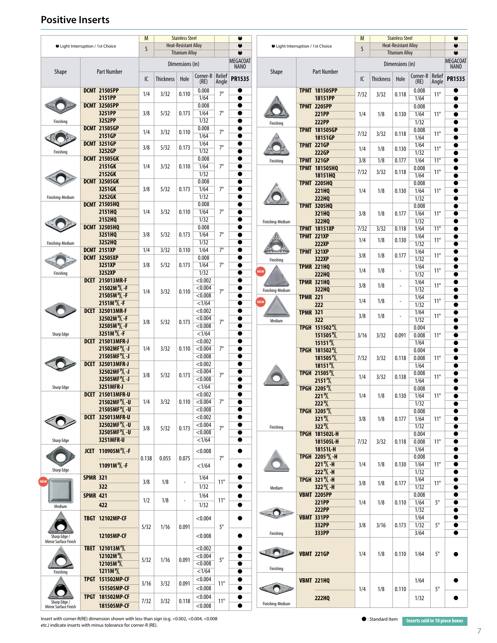#### **Positive Inserts**

| ● Light Interruption / 1st Choice     |                 | M<br>S                                                            |       | <b>Stainless Steel</b><br><b>Heat-Resistant Alloy</b><br><b>Titanium Alloy</b> |                          |                           | ٠<br>$\bullet$<br>$\bullet$ |                                | ● Light Interruption / 1st Choice |                 |                                                                    |      | <b>Stainless Steel</b><br><b>Heat-Resistant Alloy</b><br><b>Titanium Alloy</b> |                          | $\bullet$<br>$\bullet$ |                 |                         |
|---------------------------------------|-----------------|-------------------------------------------------------------------|-------|--------------------------------------------------------------------------------|--------------------------|---------------------------|-----------------------------|--------------------------------|-----------------------------------|-----------------|--------------------------------------------------------------------|------|--------------------------------------------------------------------------------|--------------------------|------------------------|-----------------|-------------------------|
| Shape                                 |                 | <b>Part Number</b>                                                |       |                                                                                | Dimensions (in)          |                           |                             | <b>MEGACOAT</b><br><b>NANO</b> | <b>Shape</b>                      |                 | <b>Part Number</b>                                                 |      |                                                                                | Dimensions (in)          |                        |                 | MEGACOAT<br><b>NANO</b> |
|                                       |                 |                                                                   | IC    | <b>Thickness</b>                                                               | Hole                     | Corner-R   Relief<br>(RE) | Angle                       | <b>PR1535</b>                  |                                   |                 |                                                                    | IC   | <b>Thickness</b>                                                               | Hole                     | Corner-R<br>(RE)       | Relief<br>Angle | <b>PR1535</b>           |
|                                       |                 | <b>DCMT 21505PP</b><br>2151PP                                     | 1/4   | 3/32                                                                           | 0.110                    | 0.008<br>1/64             | $7^\circ$                   | $\bullet$<br>$\bullet$         |                                   |                 | <b>TPMT 181505PP</b><br>18151PP                                    | 7/32 | 3/32                                                                           | 0.118                    | 0.008<br>1/64          | $11^{\circ}$    |                         |
|                                       |                 | <b>DCMT 32505PP</b>                                               |       |                                                                                |                          | 0.008                     | $7^\circ$                   | 0                              |                                   |                 | <b>TPMT 2205PP</b>                                                 |      |                                                                                |                          | 0.008                  |                 |                         |
| Finishing                             |                 | 3251PP<br>3252PP                                                  | 3/8   | 5/32                                                                           | 0.173                    | 1/64<br>1/32              |                             | $\bullet$<br>$\bullet$         | Finishing                         |                 | <b>221PP</b><br><b>222PP</b>                                       | 1/4  | 1/8                                                                            | 0.130                    | 1/64<br>1/32           | $11^{\circ}$    | ●<br>$\bullet$          |
|                                       |                 | <b>DCMT 21505GP</b><br>2151GP                                     | 1/4   | 3/32                                                                           | 0.110                    | 0.008<br>1/64             | $7^\circ$                   | $\bullet$<br>$\bullet$         |                                   |                 | <b>TPMT 181505GP</b><br>18151GP                                    | 7/32 | 3/32                                                                           | 0.118                    | 0.008<br>1/64          | $11^{\circ}$    | $\bullet$<br>Δ          |
|                                       |                 | <b>DCMT 3251GP</b><br>3252GP                                      | 3/8   | 5/32                                                                           | 0.173                    | 1/64<br>1/32              | $7^\circ$                   | $\bullet$                      |                                   |                 | <b>TPMT 221GP</b>                                                  | 1/4  | 1/8                                                                            | 0.130                    | 1/64                   | $11^{\circ}$    | $\bullet$               |
| Finishing                             |                 | <b>DCMT 21505GK</b>                                               |       |                                                                                |                          | 0.008                     |                             | $\bullet$                      | Finishing                         |                 | 222GP<br><b>TPMT 321GP</b>                                         | 3/8  | 1/8                                                                            | 0.177                    | 1/32<br>1/64           | $11^{\circ}$    | 0                       |
|                                       |                 | 2151GK<br>2152GK                                                  | 1/4   | 3/32                                                                           | 0.110                    | 1/64<br>1/32              | $7^\circ$                   | ●<br>$\bullet$                 |                                   |                 | <b>TPMT 181505HQ</b><br>18151HQ                                    | 7/32 | 3/32                                                                           | 0.118                    | 0.008<br>1/64          | $11^{\circ}$    | 0<br>$\bullet$          |
|                                       |                 | <b>DCMT 32505GK</b><br>3251GK                                     | 3/8   | 5/32                                                                           | 0.173                    | 0.008<br>1/64             | $7^\circ$                   | $\bullet$<br>$\bullet$         |                                   |                 | <b>TPMT 2205HQ</b>                                                 |      |                                                                                |                          | 0.008                  |                 | $\bullet$               |
| Finishing-Medium                      |                 | 3252GK                                                            |       |                                                                                |                          | 1/32                      |                             | $\bullet$                      |                                   |                 | <b>221HQ</b><br><b>222HQ</b>                                       | 1/4  | 1/8                                                                            | 0.130                    | 1/64<br>1/32           | $11^{\circ}$    | O                       |
|                                       |                 | <b>DCMT 21505HQ</b><br>2151HQ                                     | 1/4   | 3/32                                                                           | 0.110                    | 0.008<br>1/64             | $7^\circ$                   | $\bullet$<br>$\bullet$         |                                   |                 | <b>TPMT 3205HQ</b><br>321HQ                                        | 3/8  | 1/8                                                                            | 0.177                    | 0.008<br>1/64          | $11^{\circ}$    | ●                       |
|                                       |                 | 2152HQ<br><b>DCMT 32505HQ</b>                                     |       |                                                                                |                          | 1/32<br>0.008             |                             | $\bullet$<br>●                 | Finishing-Medium                  |                 | 322HQ<br><b>TPMT 18151XP</b>                                       | 7/32 | 3/32                                                                           | 0.118                    | 1/32<br>1/64           | $11^{\circ}$    | 0<br>0                  |
|                                       |                 | 3251HQ                                                            | 3/8   | 5/32                                                                           | 0.173                    | 1/64                      | $7^\circ$                   |                                |                                   |                 | <b>TPMT 221XP</b>                                                  | 1/4  | 1/8                                                                            | 0.130                    | 1/64                   | $11^{\circ}$    | $\bullet$               |
| Finishing-Medium                      |                 | 3252HQ<br><b>DCMT 2151XP</b>                                      | 1/4   | 3/32                                                                           | 0.110                    | 1/32<br>1/64              | $7^\circ$                   | $\bullet$<br>$\bullet$         |                                   |                 | <b>222XP</b><br><b>TPMT 321XP</b>                                  |      |                                                                                |                          | 1/32<br>1/64           | $11^{\circ}$    | $\bullet$               |
|                                       |                 | <b>DCMT 32505XP</b><br>3251XP                                     | 3/8   | 5/32                                                                           | 0.173                    | 0.008<br>1/64             | $7^\circ$                   | $\bullet$<br>$\bullet$         | Finishing                         |                 | 322XP<br><b>TPMR 221HQ</b>                                         | 3/8  | 1/8                                                                            | 0.177                    | 1/32<br>1/64           |                 | ●                       |
| Finishing                             |                 | 3252XP<br><b>DCET 215013MR-F</b>                                  |       |                                                                                |                          | 1/32<br>< 0.002           |                             | $\bullet$<br>$\bullet$         | <b>NEW</b>                        |                 | <b>222HQ</b>                                                       | 1/4  | 1/8                                                                            | $\overline{\phantom{a}}$ | 1/32                   | $11^{\circ}$    |                         |
|                                       |                 | 21502M <sup>R</sup> /L - F                                        | 1/4   | 3/32                                                                           | 0.110                    | < 0.004                   | $7^\circ$                   | 0                              | Finishing-Medium                  |                 | <b>TPMR 321HQ</b><br>322HQ                                         | 3/8  | 1/8                                                                            | $\overline{a}$           | 1/64<br>1/32           | $11^{\circ}$    | 0<br>$\bullet$          |
|                                       |                 | 21505M <sup>R</sup> /L -F<br>2151M <sup>R</sup> / <sub>L</sub> -F |       |                                                                                |                          | < 0.008<br><1/64          |                             | ●<br>$\bullet$                 |                                   | <b>TPMR 221</b> | 222                                                                | 1/4  | 1/8                                                                            | $\overline{\phantom{a}}$ | 1/64<br>1/32           | $11^{\circ}$    | $\bullet$<br>$\bullet$  |
|                                       |                 | <b>DCET 325013MR-F</b><br>32502M <sup>R</sup> /L - F              |       |                                                                                |                          | < 0.002<br>< 0.004        |                             | $\bullet$<br>0                 |                                   | <b>TPMR 321</b> | 322                                                                | 3/8  | 1/8                                                                            | $\overline{\phantom{a}}$ | 1/64<br>1/32           | $11^{\circ}$    | 0<br>●                  |
|                                       |                 | 32505M <sup>R</sup> /L -F<br>3251M <sup>P</sup> /L -F             | 3/8   | 5/32                                                                           | 0.173                    | < 0.008                   | $7^\circ$                   | $\bullet$                      | Medium                            |                 | TPGH 151502 <sup>R</sup> /L                                        |      |                                                                                |                          | 0.004                  |                 | ●                       |
| Sharp Edge                            |                 | <b>DCET 215013MFR-J</b>                                           |       |                                                                                |                          | <1/64<br>< 0.002          |                             | $\bullet$                      |                                   |                 | 151505 <sup>R</sup> L<br>15151 <sup>R</sup> L                      | 3/16 | 3/32                                                                           | 0.091                    | 0.008<br>1/64          | $11^{\circ}$    |                         |
|                                       |                 | 21502MF <sup>R</sup> /L-J<br>21505MF \[/_ -J                      | 1/4   | 3/32                                                                           | 0.110                    | < 0.004<br>< 0.008        | $7^\circ$                   | $\bullet$<br>$\bullet$         |                                   |                 | TPGH 181502 <sup>R</sup> /L<br>181505 <sup>R</sup> /L              | 7/32 | 3/32                                                                           | 0.118                    | 0.004<br>0.008         | $11^{\circ}$    | 0<br>●                  |
|                                       |                 | <b>DCET 325013MFR-J</b><br>32502MF <sup>P</sup> /L -J             |       |                                                                                |                          | < 0.002<br>< 0.004        |                             | $\bullet$                      |                                   |                 | 18151 <sup>R</sup> L<br>TPGH 21505 <sup>R</sup> /L                 |      |                                                                                |                          | 1/64<br>0.008          |                 | $\bullet$               |
|                                       |                 | 32505MF 1/2-J                                                     | 3/8   | 5/32                                                                           | 0.173                    | < 0.008<br><1/64          | $7^\circ$                   |                                |                                   |                 | 2151 <sup>R</sup> L                                                | 1/4  | 3/32                                                                           | 0.138                    | 1/64                   | $11^{\circ}$    |                         |
| Sharp Edge                            |                 | 3251MFR-J<br><b>DCET 215013MFR-U</b>                              |       |                                                                                |                          | < 0.002                   |                             | ●                              |                                   |                 | <b>TPGH 2205</b> %<br><b>221</b> <sup>R</sup> /                    | 1/4  | 1/8                                                                            | 0.130                    | 0.008<br>1/64          | $11^{\circ}$    |                         |
|                                       |                 | 21502MF <sup>R</sup> /L - U<br>21505MF 1/2-U                      | 1/4   | 3/32                                                                           | 0.110                    | < 0.004<br>< 0.008        | $7^\circ$                   | $\bullet$<br>$\bullet$         |                                   |                 | 222 <sup>R</sup> /L<br>TPGH 3205 <sup>R</sup> /L                   |      |                                                                                |                          | 1/32<br>0.008          |                 |                         |
|                                       |                 | <b>DCET 325013MFR-U</b><br>32502MF <sup>P</sup> /L - U            |       |                                                                                |                          | < 0.002<br>< 0.004        |                             | 0                              |                                   |                 | 321 <sup>R</sup> L<br>322 <sup>P</sup> /L                          | 3/8  | 1/8                                                                            | 0.177                    | 1/64<br>1/32           | $11^{\circ}$    | $\bullet$<br>0          |
|                                       |                 | 32505MF <sup>P</sup> /L - U<br>3251MFR-U                          | 3/8   | 5/32                                                                           | 0.173                    | < 0.008<br><1/64          | $7^\circ$                   | $\bullet$<br>$\bullet$         | Finishing                         |                 | <b>TPGH 181502L-H</b>                                              |      |                                                                                |                          | 0.004                  |                 | 0                       |
| Sharp Edge                            |                 | JCET 110905M <sup>R</sup> /L - F                                  |       |                                                                                |                          | < 0.008                   |                             | 0                              |                                   |                 | 181505L-H<br>18151L-H                                              | 7/32 | 3/32                                                                           | 0.118                    | 0.008<br>1/64          | $11^{\circ}$    | ●                       |
|                                       |                 | 11091M <sup>R</sup> / <sub>-F</sub>                               | 0.138 | 0.055                                                                          | 0.075                    | <1/64                     | $7^\circ$                   | $\bullet$                      |                                   |                 | TPGH 2205 <sup>R</sup> /L - H<br>$221\% - H$                       | 1/4  | 1/8                                                                            | 0.130                    | 0.008<br>1/64          | $11^{\circ}$    | 0<br>$\bullet$          |
| Sharp Edge                            | <b>SPMR 321</b> |                                                                   |       |                                                                                |                          | 1/64                      |                             | $\bullet$                      |                                   |                 | 222 <sup>R</sup> / <sub>L</sub> -H<br>TPGH 321 <sup>P</sup> /L - H |      |                                                                                |                          | 1/32                   |                 |                         |
|                                       |                 | 322                                                               | 3/8   | 1/8                                                                            | $\overline{\phantom{a}}$ | 1/32                      | $11^{\circ}$                | $\bullet$                      | Medium                            |                 | $322\% - H$                                                        | 3/8  | 1/8                                                                            | 0.177                    | 1/64<br>1/32           | $11^{\circ}$    | $\bullet$               |
|                                       | <b>SPMR 421</b> | 422                                                               | 1/2   | 1/8                                                                            | $\overline{\phantom{a}}$ | 1/64<br>1/32              | $11^{\circ}$                | $\bullet$<br>$\bullet$         |                                   |                 | <b>VBMT 2205PP</b><br><b>221PP</b>                                 | 1/4  | 1/8                                                                            | 0.110                    | 0.008<br>1/64          | $5^\circ$       | $\bullet$               |
| Medium                                |                 | <b>TBGT 12102MP-CF</b>                                            |       |                                                                                |                          | < 0.004                   |                             |                                |                                   |                 | <b>222PP</b><br><b>VBMT 331PP</b>                                  |      |                                                                                |                          | 1/32<br>1/64           |                 | 0                       |
|                                       |                 |                                                                   | 5/32  | 1/16                                                                           | 0.091                    |                           | $5^\circ$                   |                                |                                   |                 | 332PP                                                              | 3/8  | 3/16                                                                           | 0.173                    | 1/32                   | $5^{\circ}$     | $\bullet$               |
| Sharp Edge /<br>Mirror Surface Finish |                 | 12105MP-CF                                                        |       |                                                                                |                          | < 0.008                   |                             |                                | Finishing                         |                 | 333PP                                                              |      |                                                                                |                          | 3/64                   |                 | $\bullet$               |
|                                       |                 | TBET 121013M \<br>12102M <sup>R</sup> L                           |       |                                                                                |                          | < 0.002<br>< 0.004        |                             | $\bullet$                      |                                   |                 | <b>VBMT 221GP</b>                                                  | 1/4  | 1/8                                                                            | 0.110                    | 1/64                   | $5^{\circ}$     |                         |
|                                       |                 | 12105M <sup>R</sup> L                                             | 5/32  | 1/16                                                                           | 0.091                    | < 0.008<br><1/64          | $5^\circ$                   | ●<br>$\bullet$                 | Finishing                         |                 |                                                                    |      |                                                                                |                          |                        |                 |                         |
| Finishing                             |                 | 1211M <sup>R</sup> L<br>TPGT 151502MP-CF                          | 3/16  | 3/32                                                                           | 0.091                    | < 0.004                   | $11^{\circ}$                | $\bullet$                      |                                   |                 | <b>VBMT 221HQ</b>                                                  |      |                                                                                |                          | 1/64                   |                 |                         |
|                                       |                 | 151505MP-CF<br>TPGT 181502MP-CF                                   |       |                                                                                |                          | < 0.008<br>< 0.004        |                             | 0                              |                                   |                 |                                                                    | 1/4  | 1/8                                                                            | 0.110                    |                        | $5^\circ$       |                         |
| Sharp Edge /<br>Mirror Surface Finish |                 | 181505MP-CF                                                       | 7/32  | 3/32                                                                           | 0.118                    | < 0.008                   | $11^{\circ}$                | $\bullet$                      | Finishing-Medium                  |                 | <b>222HQ</b>                                                       |      |                                                                                |                          | 1/32                   |                 |                         |

**Insert with corner-R(RE) dimension shown with less than sign (e.g. <0.002, <0.004, <0.008** etc.) indicate inserts with minus tolerance for corner-R (RE).